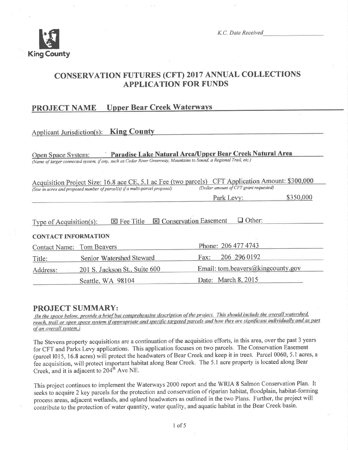

K.C. Date Received

## **CONSERVATION FUTURES (CFT) 2017 ANNUAL COLLECTIONS APPLICATION FOR FUNDS**

#### **Upper Bear Creek Waterways PROJECT NAME**

|                                                                                                                                                                                                                            | Applicant Jurisdiction(s): King County                                                                                                                                          |                                   |           |  |  |  |
|----------------------------------------------------------------------------------------------------------------------------------------------------------------------------------------------------------------------------|---------------------------------------------------------------------------------------------------------------------------------------------------------------------------------|-----------------------------------|-----------|--|--|--|
| Open Space System:                                                                                                                                                                                                         | Paradise Lake Natural Area/Upper Bear Creek Natural Area<br>(Name of larger connected system, if any, such as Cedar River Greenway, Mountains to Sound, a Regional Trail, etc.) |                                   |           |  |  |  |
| Acquisition Project Size: 16.8 ace CE, 5.1 ac Fee (two parcels) CFT Application Amount: \$300,000<br>(Dollar amount of CFT grant requested)<br>(Size in acres and proposed number of parcel(s) if a multi-parcel proposal) |                                                                                                                                                                                 |                                   |           |  |  |  |
|                                                                                                                                                                                                                            |                                                                                                                                                                                 | Park Levy:                        | \$350,000 |  |  |  |
| $\Box$ Other:<br>X Conservation Easement<br><b>X</b> Fee Title<br>Type of Acquisition(s):<br><b>CONTACT INFORMATION</b>                                                                                                    |                                                                                                                                                                                 |                                   |           |  |  |  |
|                                                                                                                                                                                                                            |                                                                                                                                                                                 | Phone: 206 477 4743               |           |  |  |  |
| <b>Contact Name: Tom Beavers</b>                                                                                                                                                                                           |                                                                                                                                                                                 |                                   |           |  |  |  |
| Title:                                                                                                                                                                                                                     | Senior Watershed Steward                                                                                                                                                        | 206 296 0192<br>Fax:              |           |  |  |  |
| Address:                                                                                                                                                                                                                   | 201 S. Jackson St., Suite 600                                                                                                                                                   | Email: tom.beavers@kingcounty.gov |           |  |  |  |
|                                                                                                                                                                                                                            | Seattle, WA 98104                                                                                                                                                               | Date: March 8, 2015               |           |  |  |  |

## **PROJECT SUMMARY:**

(In the space below, provide a brief but comprehensive description of the project. This should include the overall watershed, reach, trail or open space system if appropriate and specific targeted parcels and how they are significant individually and as part of an overall system.)

The Stevens property acquisitions are a continuation of the acquisition efforts, in this area, over the past 3 years for CFT and Parks Levy applications. This application focuses on two parcels. The Conservation Easement (parcel 1015, 16.8 acres) will protect the headwaters of Bear Creek and keep it in trees. Parcel 0060, 5.1 acres, a fee acquisition, will protect important habitat along Bear Creek. The 5.1 acre property is located along Bear Creek, and it is adjacent to 204<sup>th</sup> Ave NE.

This project continues to implement the Waterways 2000 report and the WRIA 8 Salmon Conservation Plan. It seeks to acquire 2 key parcels for the protection and conservation of riparian habitat, floodplain, habitat-forming process areas, adjacent wetlands, and upland headwaters as outlined in the two Plans. Further, the project will contribute to the protection of water quantity, water quality, and aquatic habitat in the Bear Creek basin.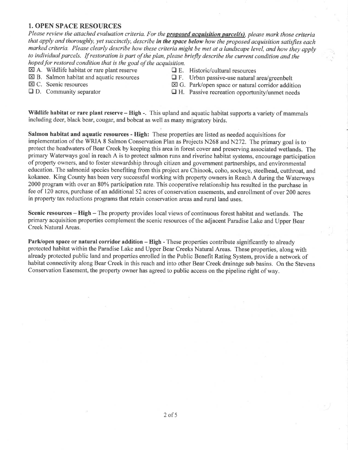### 1. OPEN SPACE RESOURCES

Please review the attached evaluation criteria. For the **proposed acquisition parcel(s)**, please mark those criteria that apply and thoroughly, yet succinctly, describe in the space below how the proposed acquisition satisfies each marked criteria. Please clearly describe how these criteria might be met at a landscape level, and how they apply to individual parcels. If restoration is part of the plan, please briefly describe the current condition and the hoped for restored condition that is the goal of the acquisition.

- $\boxtimes$  A. Wildlife habitat or rare plant reserve  $\Box$  E. Historic/cultural resources  $\Box$  E. Urban passive-use natural is
- 
- 
- 
- 
- $\boxtimes$  B. Salmon habitat and aquatic resources  $\Box$  F. Urban passive-use natural area/greenbelt  $\boxtimes$  G. Scenic resources  $\boxtimes$  G. Park/open space or natural corridor additional
- $\boxtimes$  C. Scenic resources<br>  $\boxtimes$  G. Park/open space or natural corridor addition<br>  $\Box$  D. Community separator<br>  $\Box$  H. Passive recreation opportunity/unmet needs
	- $\Box$  H. Passive recreation opportunity/unmet needs

Wildlife habitat or rare plant reserve - High -. This upland and aquatic habitat supports a variety of mammals including deer, black bear, cougar, and bobcat as well as many migratory birds.

Salmon habitat and aquatic resources - High: These properties are listed as needed acquisitions for implementation of the WRIA 8 Salmon Conservation Plan as Projects N268 and N272. The primary goal is to protect the headwaters of Bear Creek by keeping this area in forest cover and preserving associated wetlands. The primary Waterways goal in reach A is to protect salmon runs and riverine habitat systems, encourage participation of property owners, and to foster stewardship through cilizen and government partnerships, and environmental education. The salmonid species benefiting from this project are Chinook, coho, sockeye, steelhead, cutthroat, and kokanee. King County has been very successful working with property owners in Reach A during the Waterways 2000 program with over an 80% participation rate. This cooperative relationship has resulted in the purchase in fee of 120 acres, purchase of an additional 52 acres of conservation easements, and enrollment of over 200 acres in property tax reductions programs that retain conservation areas and rural land uses.

Scenic resources - High - The property provides local views of continuous forest habitat and wetlands. The primary acquisition properties complement the scenic resources of the adjacent Paradise Lake and Upper Bear Creek Natural Areas.

Park/open space or natural corridor addition – High - These properties contribute significantly to already protected habitat within the Paradise Lake and Upper Bear Creeks Natural Areas. These properties, along with already protected public land and properties enrolled in the Public Benefit Rating System, provide a network of habitat connectivity along Bear Creek in this reach and into other Bear Creek drainage sub basins. On the Stevens Conseruation Easement, the property owner has agreed to public access on the pipeline right of way.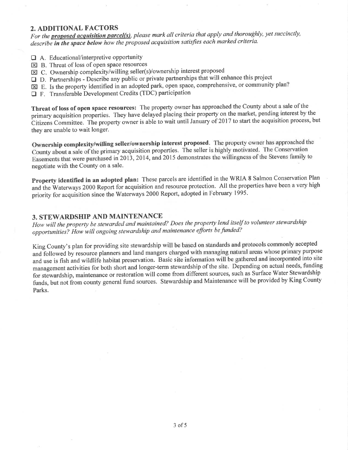### **2. ADDITIONAL FACTORS**

For the **proposed acquisition parcel(s)**, please mark all criteria that apply and thoroughly, yet succinctly, describe in the space below how the proposed acquisition satisfies each marked criteria.

- $\Box$  A. Educational/interpretive opportunity
- $\boxtimes$  B. Threat of loss of open space resources
- $\boxtimes$  C. Ownership complexity/willing seller(s)/ownership interest proposed
- D. Partnerships Describe any public or private partnerships that will enhance this project
- $\boxtimes$  E. Is the property identified in an adopted park, open space, comprehensive, or community plan?
- $\Box$  F. Transferable Development Credits (TDC) participation

Threat of loss of open space resources: The property owner has approached the County about a sale of the primary acquisition properties. They have delayed placing their property on the market, pending interest by the Citizens Committee. The property owner is able to wait until January of 2017 to start the acquisition process, but they are unable to wait longer.

Ownership complexity/willing seller/ownership interest proposed. The property owner has approached the County about a sale of the primary acquisition properties. The seller is highly motivated. The Conservation Easements that were purchased in 2013, 2014, and 2015 demonstrates the willingness of the Stevens family to negotiate with the County on a sale.

Property identified in an adopted plan: These parcels are identified in the WRIA 8 Salmon Conservation Plan and the Waterways 2000 Report for acquisition and resource protection. All the properties have been a very high priority for acquisition since the Waterways 2000 Report, adopted in February 1995.

## 3. STEWARDSHIP AND MAINTENANCE

How will the property be stewarded and maintained? Does the property lend itself to volunteer stewardship opportunities? How will ongoing stewardship and maintenance efforts be funded?

King County's plan for providing site stewardship will be based on standards and protocols commonly accepted and followed by resource planners and land mangers charged with managing natural areas whose primary purpose and use is fish and wildlife habitat preservation. Basic site information will be gathered and incorporated into site management activities for both short and longer-term stewardship of the site. Depending on actual needs, funding for stewardship, maintenance or restoration will come from different sources, such as Surface Water Stewardship funds, but not from county general fund sources. Stewardship and Maintenance will be provided by King County Parks.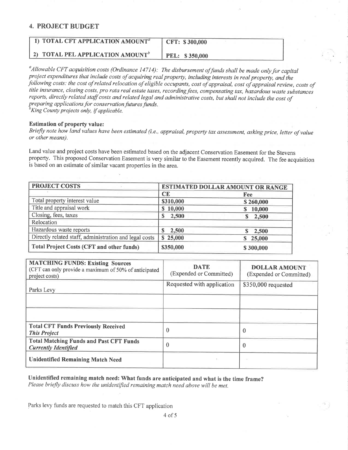## **4. PROJECT BUDGET**

| 1) TOTAL CFT APPLICATION AMOUNT <sup>a</sup> | CFT: \$300,000        |
|----------------------------------------------|-----------------------|
| 2) TOTAL PEL APPLICATION AMOUNT <sup>b</sup> | <b>PEL: \$350,000</b> |

<sup>a</sup>Allowable CFT acquisition costs (Ordinance 14714): The disbursement of funds shall be made only for capital project expenditures that include costs of acquiring real property, including interests in real property, and the following costs: the cost of related relocation of eligible occupants, cost of appraisal, cost of appraisal review, costs of title insurance, closing costs, pro rata real estate taxes, recording fees, compensating tax, hazardous waste substances reports, directly related staff costs and related legal and administrative costs, but shall not include the cost of preparing applications for conservation futures funds.

 $^{5}$ King County projects only, if applicable.

## **Estimation of property value:**

Briefly note how land values have been estimated (i.e., appraisal, property tax assessment, asking price, letter of value or other means).

Land value and project costs have been estimated based on the adjacent Conservation Easement for the Stevens property. This proposed Conservation Easement is very similar to the Easement recently acquired. The fee acquisition is based on an estimate of similar vacant properties in the area.

| <b>PROJECT COSTS</b>                                   | <b>ESTIMATED DOLLAR AMOUNT OR RANGE</b> |            |
|--------------------------------------------------------|-----------------------------------------|------------|
|                                                        | CE                                      | <b>Fee</b> |
| Total property interest value                          | \$310,000                               | \$260,000  |
| Title and appraisal work                               | \$10,000                                | \$10,000   |
| Closing, fees, taxes                                   | 2,500                                   | 2,500      |
| Relocation                                             |                                         |            |
| Hazardous waste reports                                | \$2,500                                 | \$2,500    |
| Directly related staff, administration and legal costs | \$25,000                                | \$25,000   |
| <b>Total Project Costs (CFT and other funds)</b>       | \$350,000                               | \$300,000  |

| <b>MATCHING FUNDS: Existing Sources</b><br>(CFT can only provide a maximum of 50% of anticipated<br>project costs) | <b>DATE</b><br>(Expended or Committed) | <b>DOLLAR AMOUNT</b><br>(Expended or Committed) |
|--------------------------------------------------------------------------------------------------------------------|----------------------------------------|-------------------------------------------------|
| Parks Levy                                                                                                         | Requested with application             | \$350,000 requested                             |
|                                                                                                                    |                                        |                                                 |
|                                                                                                                    |                                        |                                                 |
| <b>Total CFT Funds Previously Received</b><br><b>This Project</b>                                                  | $\theta$                               | 0                                               |
| <b>Total Matching Funds and Past CFT Funds</b><br><b>Currently Identified</b>                                      | $\boldsymbol{0}$                       | 0                                               |
| <b>Unidentified Remaining Match Need</b>                                                                           |                                        |                                                 |

## Unidentified remaining match need: What funds are anticipated and what is the time frame?

Please briefly discuss how the unidentified remaining match need above will be met.

Parks levy funds are requested to match this CFT application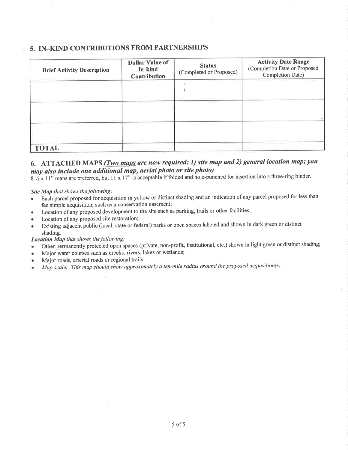## 5. IN-KIND CONTRIBUTIONS FROM PARTNERSHIPS

| <b>Brief Activity Description</b> | <b>Dollar Value of</b><br>In-kind<br><b>Contribution</b> | <b>Status</b><br>(Completed or Proposed) | <b>Activity Date Range</b><br>(Completion Date or Proposed<br>Completion Date) |
|-----------------------------------|----------------------------------------------------------|------------------------------------------|--------------------------------------------------------------------------------|
|                                   |                                                          |                                          |                                                                                |
|                                   |                                                          |                                          |                                                                                |
|                                   |                                                          |                                          |                                                                                |
| <b>TOTAL</b>                      |                                                          |                                          |                                                                                |

## 6. ATTACHED MAPS (*Two maps are now required: 1) site map and 2) general location map; you* may also include one additional map, aerial photo or site photo)

 $8\frac{1}{2}$  x 11" maps are preferred, but 11 x 17" is acceptable if folded and hole-punched for insertion into a three-ring binder.

#### Site Map that shows the following:

- Each parcel proposed for acquisition in yellow or distinct shading and an indication of any parcel proposed for less than fee simple acquisition, such as a conservation easement;
- Location of any proposed development to the site such as parking, trails or other facilities;
- Location of any proposed site restoration;
- o Existing adjacent public (local, state or federal) parks or open spaces labeled and shown in dark green or distinct shading.

#### Location Map that shows the following:

- Other permanently protected open spaces (private, non-profit, institutional, etc.) shown in light green or distinct shading;
- . Major water courses such as creeks, rivers, lakes or wetlands;
- . Major roads, arterial roads or regional trails.
- Map scale: This map should show approximately a ten-mile radius around the proposed acquisition(s).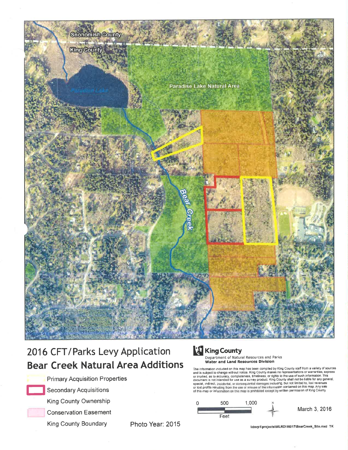

# 2016 CFT/Parks Levy Application **Bear Creek Natural Area Additions**



**Secondary Acquisitions** 



**King County Ownership** 

**Primary Acquisition Properties** 

**Conservation Easement** 

King County Boundary

Photo Year: 2015

## **King County**

Department of Natural Resources and Parks **Water and Land Resources Division** 

The information included on this map has been compiled by King County staff from a variety of sources<br>and is subject to change without notice. King County makes no representations or warranties, express<br>or implied, as to a

500 1,000 0 March 3, 2016 Feet

\\dnrp1\projects\WLRD\16017\BearCreek\_Site.mxd TK